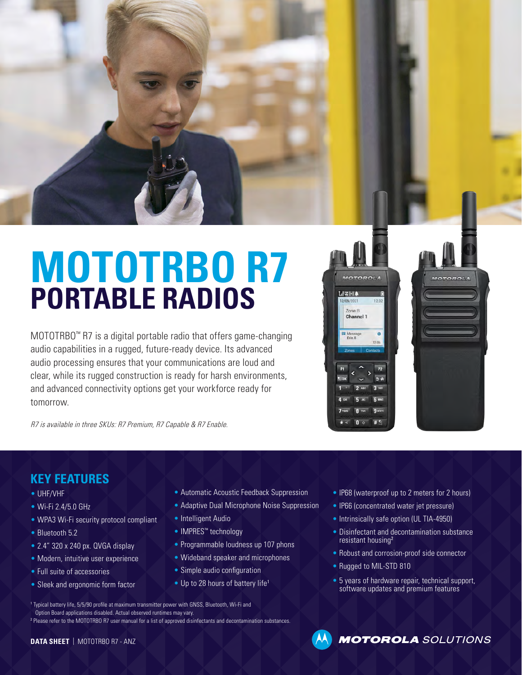

# **MOTOTRBO R7 PORTABLE RADIOS**

MOTOTRBO™ R7 is a digital portable radio that offers game-changing audio capabilities in a rugged, future-ready device. Its advanced audio processing ensures that your communications are loud and clear, while its rugged construction is ready for harsh environments, and advanced connectivity options get your workforce ready for tomorrow.

 $dZ$ - $A$  $12.3$ 12/09/2021 Zone B Channel 1  $\bullet$  $P<sub>2</sub>$ 

R7 is available in three SKUs: R7 Premium, R7 Capable & R7 Enable.

### **KEY FEATURES**

- UHF/VHF
- Wi-Fi 2.4/5.0 GHz
- WPA3 Wi-Fi security protocol compliant
- Bluetooth 5.2
- 2.4" 320 x 240 px. QVGA display
- Modern, intuitive user experience
- Full suite of accessories
- Sleek and ergonomic form factor
- Automatic Acoustic Feedback Suppression
- Adaptive Dual Microphone Noise Suppression
- Intelligent Audio
- IMPRES™ technology
- Programmable loudness up 107 phons
- Wideband speaker and microphones
- Simple audio configuration
- Up to 28 hours of battery life<sup>1</sup>
- IP68 (waterproof up to 2 meters for 2 hours)
- IP66 (concentrated water jet pressure)
- Intrinsically safe option (UL TIA-4950)
- Disinfectant and decontamination substance resistant housing<sup>2</sup>
- Robust and corrosion-proof side connector
- Rugged to MIL-STD 810
- 5 years of hardware repair, technical support, software updates and premium features

<sup>1</sup> Typical battery life, 5/5/90 profile at maximum transmitter power with GNSS, Bluetooth, Wi-Fi and Option Board applications disabled. Actual observed runtimes may vary. <sup>2</sup> Please refer to the MOTOTRBO R7 user manual for a list of approved disinfectants and decontamination substances.

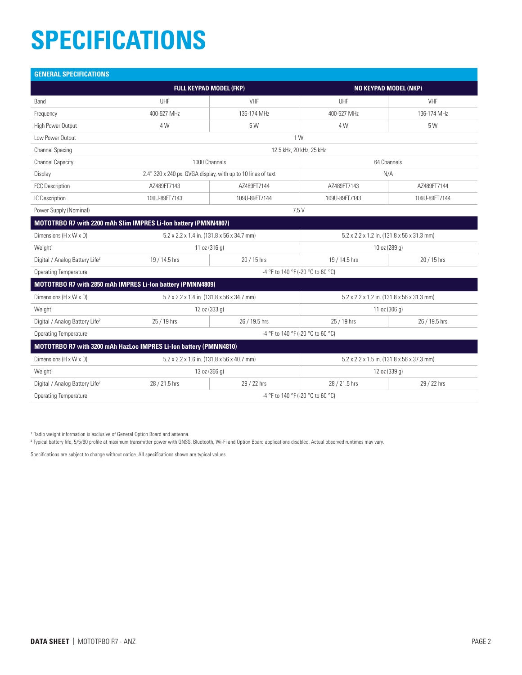### **SPECIFICATIONS**

| <b>GENERAL SPECIFICATIONS</b>                                   |                                                                   |               |                                            |               |  |  |  |  |  |
|-----------------------------------------------------------------|-------------------------------------------------------------------|---------------|--------------------------------------------|---------------|--|--|--|--|--|
|                                                                 | <b>FULL KEYPAD MODEL (FKP)</b>                                    |               | <b>NO KEYPAD MODEL (NKP)</b>               |               |  |  |  |  |  |
| Band                                                            | UHF                                                               | VHF           | UHF                                        | VHF           |  |  |  |  |  |
| Frequency                                                       | 400-527 MHz                                                       | 136-174 MHz   | 400-527 MHz                                | 136-174 MHz   |  |  |  |  |  |
| High Power Output                                               | 4 W                                                               | 5 W           | 4 W                                        | 5 W           |  |  |  |  |  |
| Low Power Output                                                | 1 W                                                               |               |                                            |               |  |  |  |  |  |
| <b>Channel Spacing</b>                                          | 12.5 kHz, 20 kHz, 25 kHz                                          |               |                                            |               |  |  |  |  |  |
| <b>Channel Capacity</b>                                         | 1000 Channels                                                     |               | 64 Channels                                |               |  |  |  |  |  |
| Display                                                         | 2.4" 320 x 240 px. QVGA display, with up to 10 lines of text      |               | N/A                                        |               |  |  |  |  |  |
| <b>FCC Description</b>                                          | AZ489FT7143                                                       | AZ489FT7144   | AZ489FT7143                                | AZ489FT7144   |  |  |  |  |  |
| IC Description                                                  | 109U-89FT7143                                                     | 109U-89FT7144 | 109U-89FT7143                              | 109U-89FT7144 |  |  |  |  |  |
| Power Supply (Nominal)<br>7.5V                                  |                                                                   |               |                                            |               |  |  |  |  |  |
| MOTOTRBO R7 with 2200 mAh Slim IMPRES Li-lon battery (PMNN4807) |                                                                   |               |                                            |               |  |  |  |  |  |
| Dimensions (H x W x D)                                          | 5.2 x 2.2 x 1.4 in. (131.8 x 56 x 34.7 mm)                        |               | 5.2 x 2.2 x 1.2 in. (131.8 x 56 x 31.3 mm) |               |  |  |  |  |  |
| Weight <sup>1</sup>                                             | 11 oz $(316 g)$                                                   |               | 10 oz (289 g)                              |               |  |  |  |  |  |
| Digital / Analog Battery Life <sup>2</sup>                      | 19 / 14.5 hrs<br>20 / 15 hrs                                      |               | 19 / 14.5 hrs                              | 20 / 15 hrs   |  |  |  |  |  |
| <b>Operating Temperature</b>                                    | -4 °F to 140 °F (-20 °C to 60 °C)                                 |               |                                            |               |  |  |  |  |  |
|                                                                 | MOTOTRBO R7 with 2850 mAh IMPRES Li-Ion battery (PMNN4809)        |               |                                            |               |  |  |  |  |  |
| Dimensions (H x W x D)                                          | 5.2 x 2.2 x 1.4 in. (131.8 x 56 x 34.7 mm)                        |               | 5.2 x 2.2 x 1.2 in. (131.8 x 56 x 31.3 mm) |               |  |  |  |  |  |
| Weight <sup>1</sup>                                             | 12 oz (333 g)                                                     |               | 11 oz (306 g)                              |               |  |  |  |  |  |
| Digital / Analog Battery Life <sup>2</sup>                      | 25 / 19 hrs                                                       | 26 / 19.5 hrs | 25 / 19 hrs                                | 26 / 19.5 hrs |  |  |  |  |  |
| <b>Operating Temperature</b>                                    | -4 °F to 140 °F (-20 °C to 60 °C)                                 |               |                                            |               |  |  |  |  |  |
|                                                                 | MOTOTRBO R7 with 3200 mAh HazLoc IMPRES Li-Ion battery (PMNN4810) |               |                                            |               |  |  |  |  |  |
| Dimensions (H x W x D)                                          | 5.2 x 2.2 x 1.6 in. (131.8 x 56 x 40.7 mm)                        |               | 5.2 x 2.2 x 1.5 in. (131.8 x 56 x 37.3 mm) |               |  |  |  |  |  |
| Weight <sup>1</sup>                                             | 13 oz (366 g)                                                     |               | 12 oz (339 g)                              |               |  |  |  |  |  |
| Digital / Analog Battery Life <sup>2</sup>                      | 28 / 21.5 hrs                                                     | 29 / 22 hrs   | 28 / 21.5 hrs                              | 29 / 22 hrs   |  |  |  |  |  |
| <b>Operating Temperature</b>                                    | -4 °F to 140 °F (-20 °C to 60 °C)                                 |               |                                            |               |  |  |  |  |  |

<sup>1</sup> Radio weight information is exclusive of General Option Board and antenna.

2 Typical battery life, 5/5/90 profile at maximum transmitter power with GNSS, Bluetooth, Wi-Fi and Option Board applications disabled. Actual observed runtimes may vary.

Specifications are subject to change without notice. All specifications shown are typical values.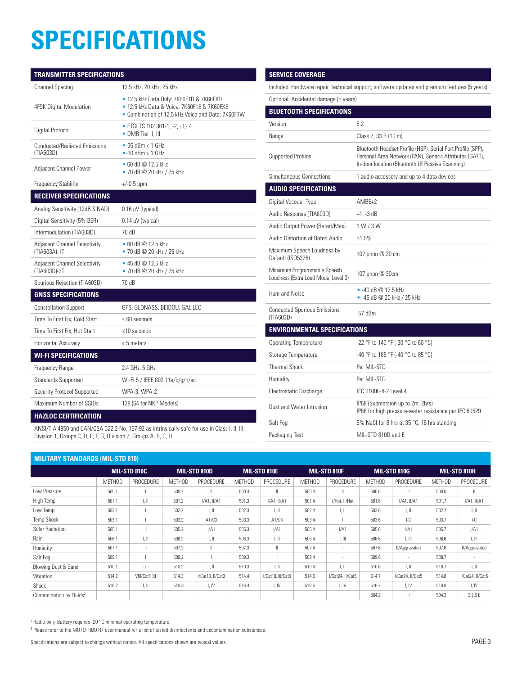### **SPECIFICATIONS**

| <b>TRANSMITTER SPECIFICATIONS</b>                |                                                                                                                                            |  |  |  |  |  |
|--------------------------------------------------|--------------------------------------------------------------------------------------------------------------------------------------------|--|--|--|--|--|
| <b>Channel Spacing</b>                           | 12.5 kHz, 20 kHz, 25 kHz                                                                                                                   |  |  |  |  |  |
| <b>4FSK Digital Modulation</b>                   | • 12.5 kHz Data Only: 7K60F1D & 7K60FXD<br>• 12.5 kHz Data & Voice: 7K60F1E & 7K60FXE<br>• Combination of 12.5 kHz Voice and Data: 7K60F1W |  |  |  |  |  |
| Digital Protocol                                 | • ETSI TS 102 361-1, -2, -3, -4<br>• DMR Tier II, III                                                                                      |  |  |  |  |  |
| <b>Conducted/Radiated Emissions</b><br>(TIA603D) | $\bullet$ -36 dBm < 1 GHz<br>$\bullet$ -30 dBm > 1 GHz                                                                                     |  |  |  |  |  |
| Adjacent Channel Power                           | • 60 dB $@$ 12.5 kHz<br>• 70 dB @ 20 kHz / 25 kHz                                                                                          |  |  |  |  |  |
| Frequency Stability                              | $+/-0.5$ ppm                                                                                                                               |  |  |  |  |  |
| <b>RECEIVER SPECIFICATIONS</b>                   |                                                                                                                                            |  |  |  |  |  |
| Analog Sensitivity (12dB SINAD)                  | $0.16 \mu V$ (typical)                                                                                                                     |  |  |  |  |  |
| Digital Sensitivity (5% BER)                     | $0.14 \mu V$ (typical)                                                                                                                     |  |  |  |  |  |
| Intermodulation (TIA603D)                        | 70 dB                                                                                                                                      |  |  |  |  |  |
| Adjacent Channel Selectivity,<br>(TIA603A)-1T    | • 60 dB $@$ 12.5 kHz<br>• 70 dB $@$ 20 kHz / 25 kHz                                                                                        |  |  |  |  |  |
| Adjacent Channel Selectivity,<br>(TIA603D)-2T    | • 45 dB $@$ 12.5 kHz<br>• 70 dB @ 20 kHz / 25 kHz                                                                                          |  |  |  |  |  |
| Spurious Rejection (TIA603D)                     | 70 dB                                                                                                                                      |  |  |  |  |  |
| <b>GNSS SPECIFICATIONS</b>                       |                                                                                                                                            |  |  |  |  |  |
| <b>Constellation Support</b>                     | GPS, GLONASS, BEIDOU, GALILEO                                                                                                              |  |  |  |  |  |
| Time To First Fix. Cold Start                    | $\leq 60$ seconds                                                                                                                          |  |  |  |  |  |
| Time To First Fix, Hot Start                     | $\leq$ 10 seconds                                                                                                                          |  |  |  |  |  |
| Horizontal Accuracy                              | $< 5$ meters                                                                                                                               |  |  |  |  |  |
| <b>WI-FI SPECIFICATIONS</b>                      |                                                                                                                                            |  |  |  |  |  |
| Frequency Range                                  | 2.4 GHz, 5 GHz                                                                                                                             |  |  |  |  |  |
| Standards Supported                              | Wi-Fi 5 / IEEE 802.11a/b/g/n/ac                                                                                                            |  |  |  |  |  |
| Security Protocol Supported                      | WPA-3, WPA-2                                                                                                                               |  |  |  |  |  |
| Maximum Number of SSIDs                          | 128 (64 for NKP Models)                                                                                                                    |  |  |  |  |  |
| <b>HAZLOC CERTIFICATION</b>                      |                                                                                                                                            |  |  |  |  |  |

### Included: Hardware repair, technical support, software updates and premium features (5 years) Optional: Accidental damage (5 years) **BLUETOOTH SPECIFICATIONS** Version 5.2 Range Class 2, 33 ft (10 m) Supported Profiles Bluetooth Headset Profile (HSP), Serial Port Profile (SPP), Personal Area Network (PAN), Generic Attributes (GATT),

**SERVICE COVERAGE**

|                                                                    | In-door location (Bluetooth LE Passive Scanning)                                          |
|--------------------------------------------------------------------|-------------------------------------------------------------------------------------------|
| Simultaneous Connections                                           | 1 audio accessory and up to 4 data devices                                                |
| <b>AUDIO SPECIFICATIONS</b>                                        |                                                                                           |
| Digital Vocoder Type                                               | $AMRF+2$                                                                                  |
| Audio Response (TIA603D)                                           | $+1. -3$ dB                                                                               |
| Audio Output Power (Rated/Max)                                     | 1 W / 3 W                                                                                 |
| Audio Distortion at Rated Audio                                    | ≤1.5%                                                                                     |
| Maximum Speech Loudness by<br>Default (ISO5326)                    | 102 phon @ 30 cm                                                                          |
| Maximum Programmable Speech<br>Loudness (Extra Loud Mode, Level 3) | 107 phon @ 30cm                                                                           |
| Hum and Noise                                                      | $-40$ dB @ 12 5 kHz<br>• -45 dB @ 20 kHz / 25 kHz                                         |
| <b>Conducted Spurious Emissions</b><br>(TIA603D)                   | $-57$ dBm                                                                                 |
| <b>ENVIRONMENTAL SPECIFICATIONS</b>                                |                                                                                           |
| Operating Temperature <sup>1</sup>                                 | -22 °F to 140 °F (-30 °C to 60 °C)                                                        |
| Storage Temperature                                                | -40 °F to 185 °F (-40 °C to 85 °C)                                                        |
| <b>Thermal Shock</b>                                               | Per MIL-STD                                                                               |
| Humidity                                                           | Per MIL-STD                                                                               |
| Electrostatic Discharge                                            | IEC 61000-4-2 Level 4                                                                     |
| Dust and Water Intrusion                                           | IP68 (Submersion up to 2m, 2hrs)<br>IP66 for high pressure-water resistance per IEC 60529 |
| Salt Fog                                                           | 5% NaCl for 8 hrs at 35 °C, 16 hrs standing                                               |
| Packaging Test                                                     | MIL-STD 810D and E                                                                        |

ANSI/TIA 4950 and CAN/CSA C22.2 No. 157-92 as intrinsically safe for use in Class I, II, III, Division 1, Groups C, D, E, F, G, Division 2, Groups A, B, C, D

| <b>MILITARY STANDARDS (MIL-STD 810)</b> |               |                           |               |                  |               |                           |               |                           |               |                           |               |                         |
|-----------------------------------------|---------------|---------------------------|---------------|------------------|---------------|---------------------------|---------------|---------------------------|---------------|---------------------------|---------------|-------------------------|
|                                         |               | <b>MIL-STD 810C</b>       |               | MIL-STD 810D     |               | MIL-STD 810E              |               | MIL-STD 810F              |               | <b>MIL-STD 810G</b>       |               | MIL-STD 810H            |
|                                         | <b>METHOD</b> | <b>PROCEDURE</b>          | <b>MFTHOD</b> | PROCEDURE        | <b>MFTHOD</b> | PROCEDURE                 | <b>METHOD</b> | PROCEDURE                 | <b>MFTHOD</b> | <b>PROCEDURE</b>          | <b>METHOD</b> | <b>PROCEDURE</b>        |
| Low Pressure                            | 500.1         |                           | 500.2         | $\mathbb{I}$     | 500.3         | II.                       | 500.4         | $\mathbf{I}$              | 500.6         | $\mathsf{I}$              | 500.6         | $\mathbf{H}$            |
| High Temp                               | 501.1         | $\parallel$ .             | 501.2         | $I/A1$ , $II/A1$ | 501.3         | $I/A1$ , $II/A1$          | 501.4         | I/Hot, II/Hot             | 501.6         | $I/A1$ , $I/A1$           | 501.7         | $I/A1$ , $II/A1$        |
| Low Temp                                | 502.1         |                           | 502.2         | LШ               | 502.3         | $L$ H                     | 502.4         | $\parallel$ , $\parallel$ | 502.6         | $\parallel$ , $\parallel$ | 502.7         | l, II                   |
| <b>Temp Shock</b>                       | 503.1         |                           | 503.2         | A1/C3            | 503.3         | A1/C3                     | 503.4         |                           | 503.6         | $-C$                      | 503.7         | $-C$                    |
| Solar Radiation                         | 505.1         |                           | 505.2         | I/A1             | 505.3         | I/A1                      | 505.4         | I/A1                      | 505.6         | I/A1                      | 505.7         | I/A1                    |
| Rain                                    | 506.1         | $\parallel$ , $\parallel$ | 506.2         | I, II            | 506.3         | $\parallel$ , $\parallel$ | 506.4         | $\parallel$ , $\parallel$ | 506.6         | $\parallel$ , $\parallel$ | 506.6         | t, III                  |
| Humidity                                | 507.1         |                           | 507.2         |                  | 507.3         | Ш                         | 507.4         | $\sim$                    | 507.6         | II/Aggravated             | 507.6         | II/Aggravated           |
| Salt Fog                                | 509.1         |                           | 509.2         |                  | 509.3         |                           | 509.4         | $\sim$                    | 509.6         | ٠                         | 509.7         |                         |
| Blowing Dust & Sand                     | 510.1         | $1/-$                     | 510.2         | LШ               | 510.3         | $L \parallel$             | 510.4         | $\ .\ $                   | 510.6         | $\mathbb{L}$              | 510.7         | $\mathbb{L} \mathbb{R}$ |
| Vibration                               | 514.2         | VIII/CatF. XI             | 514.3         | I/Cat10, II/Cat3 | 514.4         | I/Cat10, III/Cat3         | 514.5         | I/Cat24, II/Cat5          | 514.7         | I/Cat24, II/Cat5          | 514.8         | I/Cat24, II/Cat5        |
| Shock                                   | 516.2         | $\parallel$ , $\parallel$ | 516.3         | I, IV            | 516.4         | I, IV                     | 516.5         | I, IV                     | 516.7         | I, IV                     | 516.8         | I, IV                   |
| Contamination by Fluids <sup>2</sup>    |               |                           |               |                  |               |                           |               |                           | 504.2         | Ш                         | 504.3         | 2.2.6 <sub>b</sub>      |

<sup>1</sup> Radio only. Battery requires -20 °C minimal operating temperature.

2 Please refer to the MOTOTRBO R7 user manual for a list of tested disinfectants and decontamination substances.